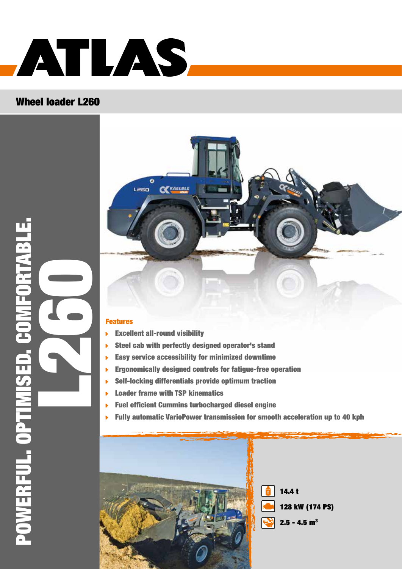

#### Wheel loader L260





#### Features

- Excellent all-round visibility
- Steel cab with perfectly designed operator's stand
- Easy service accessibility for minimized downtime
- Ergonomically designed controls for fatigue-free operation  $\mathbf{b}$
- Self-locking differentials provide optimum traction
- Loader frame with TSP kinematics
- Fuel efficient Cummins turbocharged diesel engine **N**
- Fully automatic VarioPower transmission for smooth acceleration up to 40 kph

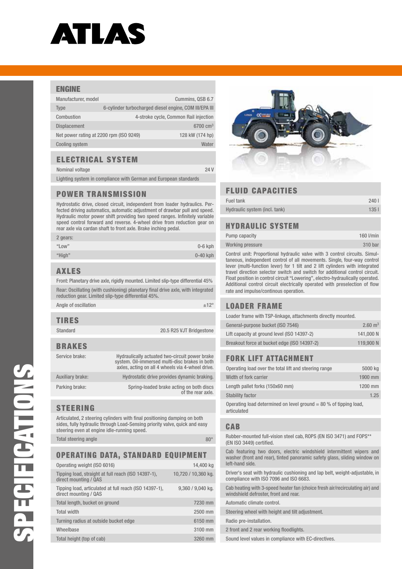## ATLAS

#### ENGINE

| Manufacturer, model                     |                                                        | Cummins, QSB 6.7                      |
|-----------------------------------------|--------------------------------------------------------|---------------------------------------|
| <b>Type</b>                             | 6-cylinder turbocharged diesel engine, COM III/EPA III |                                       |
| Combustion                              |                                                        | 4-stroke cycle, Common Rail injection |
| <b>Displacement</b>                     |                                                        | 6700 $cm3$                            |
| Net power rating at 2200 rpm (ISO 9249) |                                                        | 128 kW (174 hp)                       |
| <b>Cooling system</b>                   |                                                        | Water                                 |

#### Electrical system

Nominal voltage 24 V

Lighting system in compliance with German and European standards

#### Power transmission

Hydrostatic drive, closed circuit, independent from loader hydraulics. Perfected driving automatics, automatic adjustment of drawbar pull and speed. Hydraulic motor power shift providing two speed ranges. Infinitely variable speed control forward and reverse. 4-wheel drive from reduction gear on rear axle via cardan shaft to front axle. Brake inching pedal.

| 2 gears: |            |
|----------|------------|
| "Low"    | $0-6$ kph  |
| "High"   | $0-40$ kph |

#### Axles

Front: Planetary drive axle, rigidly mounted. Limited slip-type differential 45% Rear: Oscillating (with cushioning) planetary final drive axle, with integrated reduction gear. Limited slip-type differential 45%.

| Angle of oscillation | $+12°$                   |
|----------------------|--------------------------|
| <b>TIRES</b>         |                          |
| Standard             | 20.5 R25 VJT Bridgestone |
|                      |                          |

#### Brakes

| Service brake:   | Hydraulically actuated two-circuit power brake<br>system. Oil-immersed multi-disc brakes in both<br>axles, acting on all 4 wheels via 4-wheel drive. |
|------------------|------------------------------------------------------------------------------------------------------------------------------------------------------|
| Auxiliary brake: | Hydrostatic drive provides dynamic braking.                                                                                                          |
| Parking brake:   | Spring-loaded brake acting on both discs<br>of the rear axle.                                                                                        |

#### **STEERING**

Articulated, 2 steering cylinders with final positioning damping on both sides, fully hydraulic through Load-Sensing priority valve, quick and easy steering even at engine idle-running speed. Total steering angle 80° and 80° and 80° and 80° and 80° and 80° and 80° and 80°

#### Operating data, standard equipment

| Operating weight (ISO 6016)                                                     | 14.400 kg           |
|---------------------------------------------------------------------------------|---------------------|
| Tipping load, straight at full reach (ISO 14397-1),<br>direct mounting / QAS    | 10,720 / 10,360 kg. |
| Tipping load, articulated at full reach (ISO 14397-1),<br>direct mounting / QAS | 9,360 / 9,040 kg.   |
| Total length, bucket on ground                                                  | 7230 mm             |
| <b>Total width</b>                                                              | 2500 mm             |
| Turning radius at outside bucket edge                                           | 6150 mm             |
| Wheelbase                                                                       | 3100 mm             |
| Total height (top of cab)                                                       | 3260 mm             |



#### Fluid capacities

| Fuel tank                     | 2401             |
|-------------------------------|------------------|
| Hydraulic system (incl. tank) | 135 <sub>1</sub> |

#### Hydraulic system

| Pump capacity    | 160 l/min |
|------------------|-----------|
| Working pressure | 310 bar   |

Control unit: Proportional hydraulic valve with 3 control circuits. Simultaneous, independent control of all movements. Single, four-way control lever (multi-function lever) for 1 tilt and 2 lift cylinders with integrated travel direction selector switch and switch for additional control circuit. Float position in control circuit "Lowering", electro-hydraulically operated. Additional control circuit electrically operated with preselection of flow rate and impulse/continous operation.

#### Loader frame

| Loader frame with TSP-linkage, attachments directly mounted. |                    |
|--------------------------------------------------------------|--------------------|
| General-purpose bucket (ISO 7546)                            | $2.60 \text{ m}^3$ |
| Lift capacity at ground level (ISO 14397-2)                  | 141,000 N          |
| Breakout force at bucket edge (ISO 14397-2)                  | 119,900 N          |

#### Fork lift attachment

| Operating load over the total lift and steering range | 5000 kg |
|-------------------------------------------------------|---------|
| Width of fork carrier                                 | 1900 mm |
| Length pallet forks (150x60 mm)                       | 1200 mm |
| <b>Stability factor</b>                               | 1.25    |
|                                                       |         |

Operating load determined on level ground  $= 80 %$  of tipping load, articulated

#### **CAB**

Rubber-mounted full-vision steel cab, ROPS (EN ISO 3471) and FOPS\*\* (EN ISO 3449) certified.

Cab featuring two doors, electric windshield intermittent wipers and washer (front and rear), tinted panoramic safety glass, sliding window on left-hand side.

Driver's seat with hydraulic cushioning and lap belt, weight-adjustable, in compliance with ISO 7096 and ISO 6683.

Cab heating with 3-speed heater fan (choice fresh air/recirculating air) and windshield defroster, front and rear.

Automatic climate control.

Steering wheel with height and tilt adjustment.

Radio pre-installation.

2 front and 2 rear working floodlights.

Sound level values in compliance with EC-directives.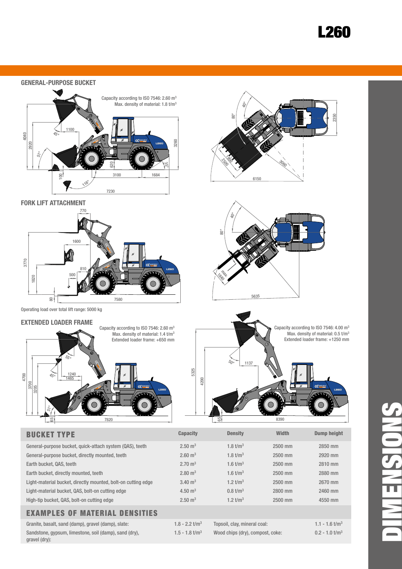### L260



#### Examples of material densities

| Granite, basalt, sand (damp), gravel (damp), slate:    | $1.8 - 2.2$ t/m <sup>3</sup> | Topsoil, clay, mineral coal:     | $1.1 - 1.6$ t/m <sup>3</sup> |
|--------------------------------------------------------|------------------------------|----------------------------------|------------------------------|
| Sandstone, gypsum, limestone, soil (damp), sand (dry), | $1.5 - 1.8$ t/m <sup>3</sup> | Wood chips (dry), compost, coke: | $0.2 - 1.0$ t/m <sup>3</sup> |
| gravel (dry):                                          |                              |                                  |                              |

DIMENSIONS